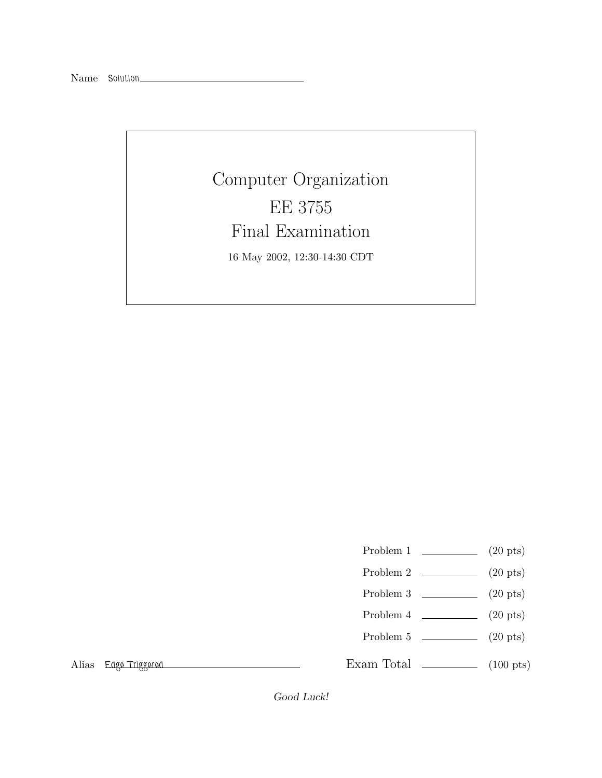## Computer Organization EE 3755 Final Examination 16 May 2002, 12:30-14:30 CDT

- Problem 1 (20 pts)
- Problem 2 (20 pts)
- Problem 3 (20 pts)
- 
- Problem  $4 \t\t(20 \text{ pts})$
- Problem 5 (20 pts)

Alias *Edge Triggered*

Exam Total  $\qquad \qquad$  (100 pts)

Good Luck!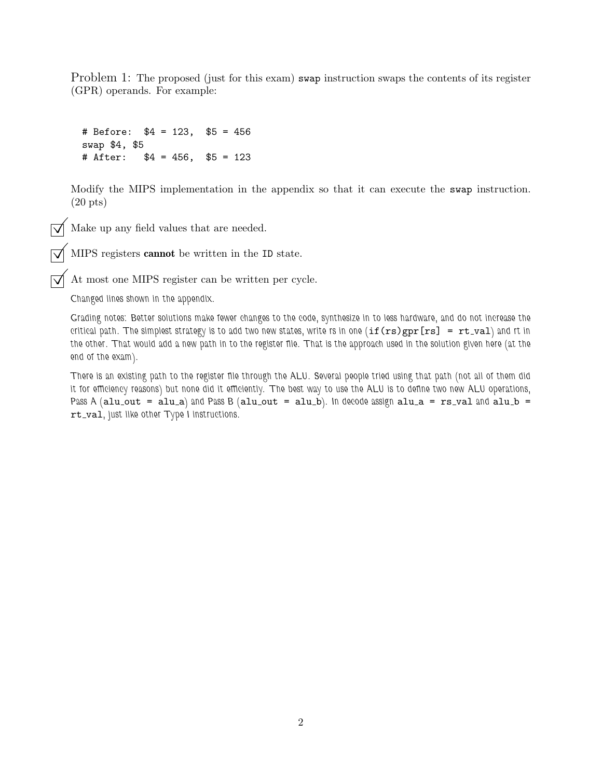Problem 1: The proposed (just for this exam) swap instruction swaps the contents of its register (GPR) operands. For example:

```
# Before: $4 = 123, $5 = 456
swap $4, $5
# After: $4 = 456, $5 = 123
```
Modify the MIPS implementation in the appendix so that it can execute the swap instruction. (20 pts)

 $\sqrt{\phantom{a}}$  Make up any field values that are needed.

MIPS registers cannot be written in the ID state.

At most one MIPS register can be written per cycle.

*Changed lines shown in the appendix.*

*Grading notes: Better solutions make fewer changes to the code, synthesize in to less hardware, and do not increase the critical path.* The simplest strategy is to add two new states, write rs in one  $(if(rs)gpr[rs] = rt_val)$  and rt in *the other. That would add a new path in to the register file. That is the approach used in the solution given here (at the end of the exam).*

*There is an existing path to the register file through the ALU. Several people tried using that path (not all of them did it for efficiency reasons) but none did it efficiently. The best way to use the ALU is to define two new ALU operations, Pass A (alu\_out = alu\_a) and Pass B (alu\_out = alu\_b). In decode assign alu\_a = rs\_val and alu\_b =* rt val*, just like other Type I instructions.*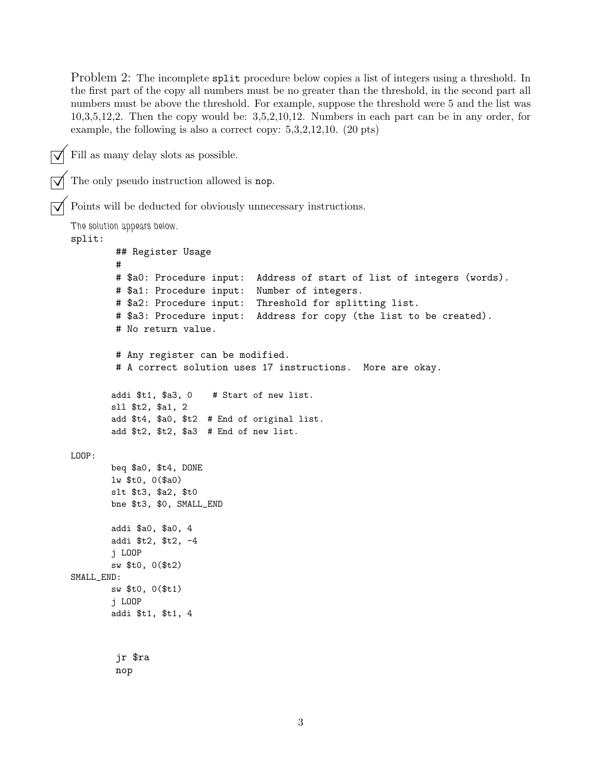Problem 2: The incomplete split procedure below copies a list of integers using a threshold. In the first part of the copy all numbers must be no greater than the threshold, in the second part all numbers must be above the threshold. For example, suppose the threshold were 5 and the list was 10,3,5,12,2. Then the copy would be: 3,5,2,10,12. Numbers in each part can be in any order, for example, the following is also a correct copy: 5,3,2,12,10. (20 pts)

Fill as many delay slots as possible.

The only pseudo instruction allowed is nop. Points will be deducted for obviously unnecessary instructions. *The solution appears below.* split: ## Register Usage # # \$a0: Procedure input: Address of start of list of integers (words). # \$a1: Procedure input: Number of integers. # \$a2: Procedure input: Threshold for splitting list. # \$a3: Procedure input: Address for copy (the list to be created). # No return value. # Any register can be modified. # A correct solution uses 17 instructions. More are okay. addi \$t1, \$a3, 0 # Start of new list. sll \$t2, \$a1, 2 add \$t4, \$a0, \$t2 # End of original list. add \$t2, \$t2, \$a3 # End of new list. LOOP: beq \$a0, \$t4, DONE lw \$t0, 0(\$a0) slt \$t3, \$a2, \$t0 bne \$t3, \$0, SMALL\_END addi \$a0, \$a0, 4 addi \$t2, \$t2, -4 j LOOP sw \$t0, 0(\$t2) SMALL\_END: sw \$t0, 0(\$t1) j LOOP addi \$t1, \$t1, 4 jr \$ra nop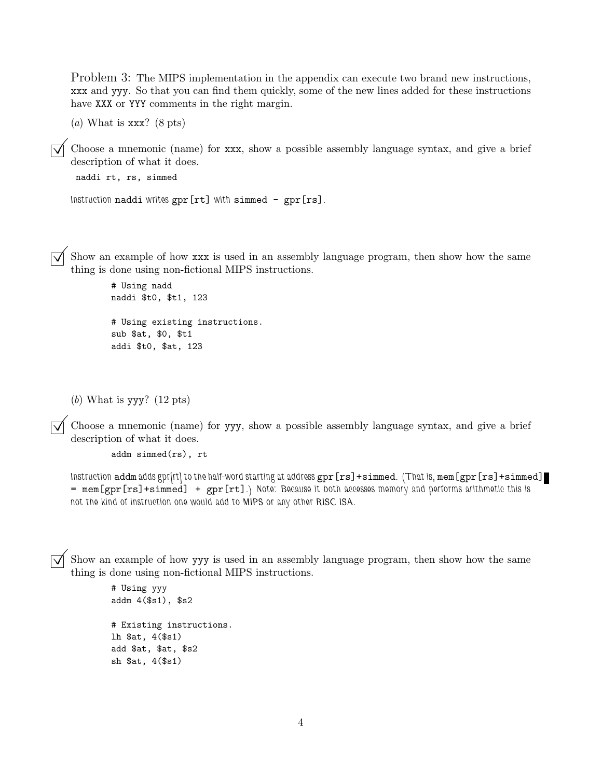Problem 3: The MIPS implementation in the appendix can execute two brand new instructions, xxx and yyy. So that you can find them quickly, some of the new lines added for these instructions have XXX or YYY comments in the right margin.

(*a*) What is xxx? (8 pts)

Choose a mnemonic (name) for xxx, show a possible assembly language syntax, and give a brief description of what it does.

```
naddi rt, rs, simmed
```

```
Instruction naddi writes gpr[rt] with simmed - gpr[rs].
```
Show an example of how xxx is used in an assembly language program, then show how the same thing is done using non-fictional MIPS instructions.

# Using nadd naddi \$t0, \$t1, 123 # Using existing instructions. sub \$at, \$0, \$t1 addi \$t0, \$at, 123

(*b*) What is yyy? (12 pts)

Choose a mnemonic (name) for yyy, show a possible assembly language syntax, and give a brief description of what it does.

addm simmed(rs), rt

*Instruction* addm *adds gpr[rt] to the half-word starting at address* gpr[rs]+simmed*. (That is,* mem[gpr[rs]+simmed] = mem[gpr[rs]+simmed] + gpr[rt]*.) Note: Because it both accesses memory and performs arithmetic this is not the kind of instruction one would add to MIPS or any other RISC ISA.*

Show an example of how yyy is used in an assembly language program, then show how the same thing is done using non-fictional MIPS instructions.

```
# Using yyy
addm 4($s1), $s2
# Existing instructions.
lh $at, 4($s1)
add $at, $at, $s2
sh $at, 4($s1)
```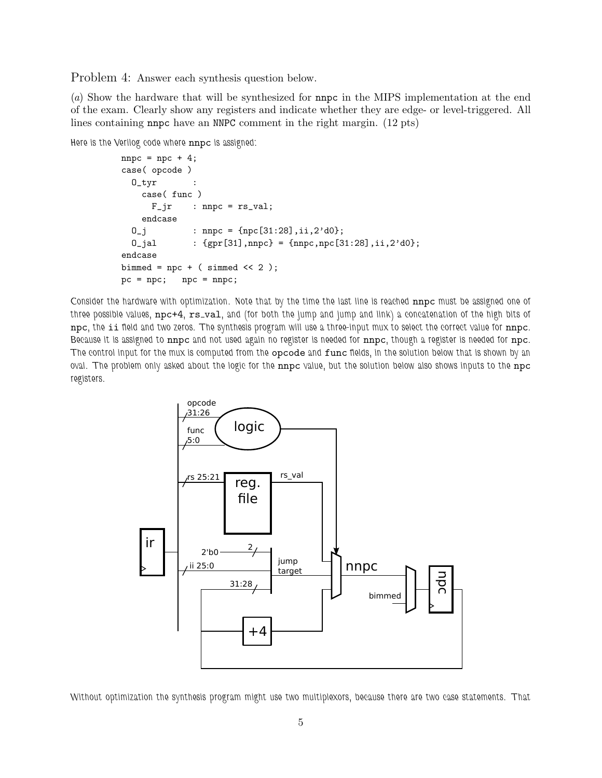Problem 4: Answer each synthesis question below.

(*a*) Show the hardware that will be synthesized for nnpc in the MIPS implementation at the end of the exam. Clearly show any registers and indicate whether they are edge- or level-triggered. All lines containing nnpc have an NNPC comment in the right margin. (12 pts)

*Here is the Verilog code where* nnpc *is assigned:*

```
npc = npc + 4;case( opcode )
 O_tyr :
   case( func )
     F_jr : nnpc = rs_val;endcase
 0_j : nnpc = {npc[31:28],ii,2'd0};
 0_jal : {gpr[31],nnpc} = {nnpc,npc[31:28],ii,2'd0};
endcase
bimmed = npc + (simmed \ll 2);
pc = npc; npc = nnpc;
```
*Consider the hardware with optimization. Note that by the time the last line is reached* nnpc *must be assigned one of three possible values,* npc+4*,* rs val*, and (for both the jump and jump and link) a concatenation of the high bits of* npc*, the* ii *field and two zeros. The synthesis program will use a three-input mux to select the correct value for* nnpc*. Because it is assigned to* nnpc *and not used again no register is needed for* nnpc*, though a register is needed for* npc*. The control input for the mux is computed from the* opcode *and* func *fields, in the solution below that is shown by an oval. The problem only asked about the logic for the* nnpc *value, but the solution below also shows inputs to the* npc *registers.*



*Without optimization the synthesis program might use two multiplexors, because there are two case statements. That*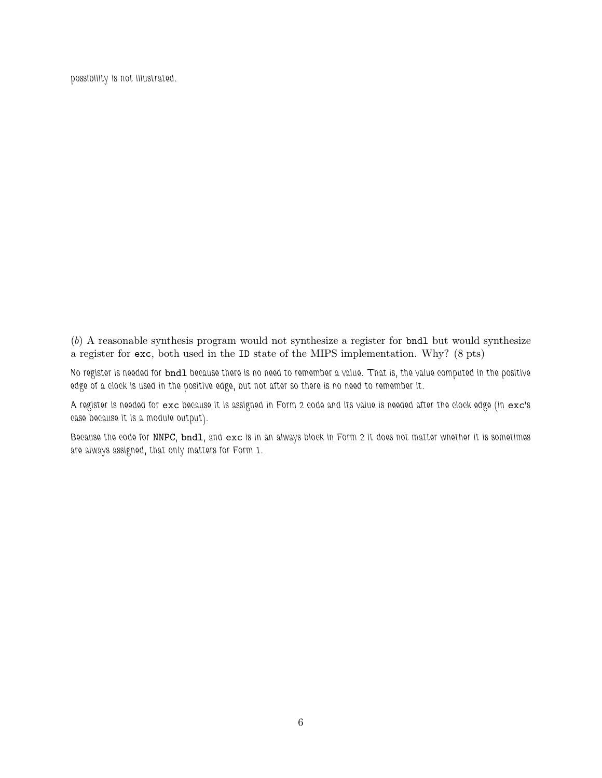*possibility is not illustrated.*

(*b*) A reasonable synthesis program would not synthesize a register for bndl but would synthesize a register for exc, both used in the ID state of the MIPS implementation. Why? (8 pts)

*No register is needed for* bndl *because there is no need to remember a value. That is, the value computed in the positive edge of a clock is used in the positive edge, but not after so there is no need to remember it.*

*A register is needed for* exc *because it is assigned in Form 2 code and its value is needed after the clock edge (in* exc*'s case because it is a module output).*

*Because the code for* NNPC*,* bndl*, and* exc *is in an always block in Form 2 it does not matter whether it is sometimes are always assigned, that only matters for Form 1.*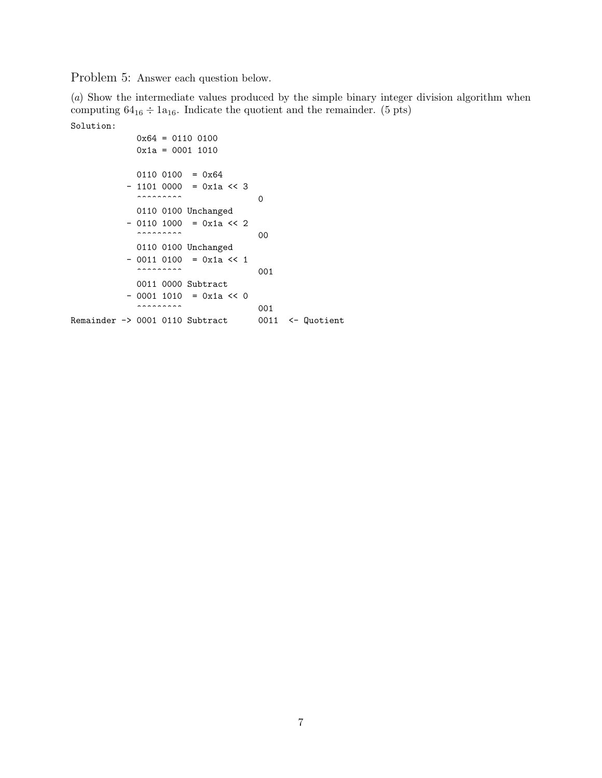Problem 5: Answer each question below.

(*a*) Show the intermediate values produced by the simple binary integer division algorithm when computing  $64_{16} \div 1a_{16}$ . Indicate the quotient and the remainder. (5 pts) Solution:

```
0x64 = 0110 0100
                                      0x1a = 0001 1010
                                     0110\ 0100 = 0x64- 1101 0000 = 0x1a << 3\overbrace{\hspace{2.5cm} \hspace{2.5cm} }^{\hspace{2.1cm} \hspace{2.5cm} \hspace{2.5cm} \hspace{2.5cm} \hspace{2.5cm} \hspace{2.5cm} } 00110 0100 Unchanged
                                - 0110 1000 = 0x1a << 2
                                      \overbrace{ }^{0}0110 0100 Unchanged
                                - 0011 0100 = 0x1a << 1
                                      \sim 001
                                     0011 0000 Subtract
                                - 0001 1010 = 0x1a << 0
                                      \overbrace{ }^{\bullet\bullet\bullet\bullet\bullet\bullet\bullet\bullet\bullet\bullet} \qquad \qquad \overbrace{ }^{\bullet\bullet\bullet\bullet\bullet\bullet\bullet} \qquad \qquad \overbrace{ }^{\bullet\bullet\bullet\bullet\bullet\bullet\bullet} \qquad \qquad \overbrace{ }^{\bullet\bullet\bullet\bullet\bullet\bullet\bullet\bullet} \qquad \qquad \overbrace{ }^{\bullet\bullet\bullet\bullet\bullet\bullet\bullet\bullet\bullet\bullet} \qquad \qquad \overbrace{ }^{\bullet\bullet\bullet\bullet\bullet\bullet\bullet\bullet\bullet\bullet\bullet} \qquad \qquad \overbrace{ }^{\bullet\bullet\bullet\bullet\bullet\bullet\bullet\bullet\bullet\bullet\bullet} \qquad \qquad \Remainder -> 0001 0110 Subtract 0011 <- Quotient
```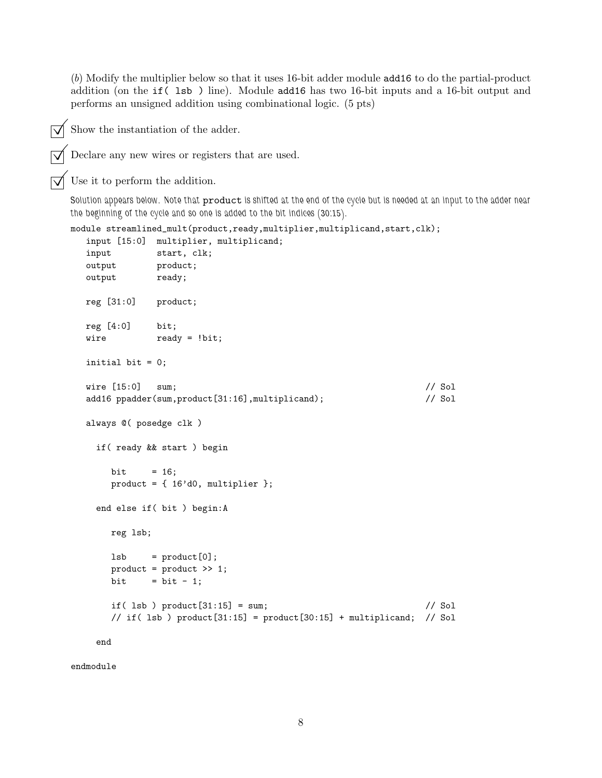(*b*) Modify the multiplier below so that it uses 16-bit adder module add16 to do the partial-product addition (on the if( lsb ) line). Module add16 has two 16-bit inputs and a 16-bit output and performs an unsigned addition using combinational logic. (5 pts)

Show the instantiation of the adder.

Declare any new wires or registers that are used.

Use it to perform the addition.

*Solution appears below. Note that* product *is shifted at the end of the cycle but is needed at an input to the adder near the beginning of the cycle and so one is added to the bit indices (30:15).*

```
module streamlined_mult(product,ready,multiplier,multiplicand,start,clk);
   input [15:0] multiplier, multiplicand;
```

```
input start, clk;
output product;
output ready;
reg [31:0] product;
reg [4:0] bit;
wire ready = !bit;
initial bit = 0;
wire [15:0] sum; // Sol
add16 ppadder(sum,product[31:16],multiplicand); // Sol
always @( posedge clk )
 if( ready && start ) begin
   bit = 16;
   product = \{ 16' d0, multiplier \};end else if( bit ) begin:A
   reg lsb;
   lsb = product[0];product = product >> 1;
   bit = bit - 1;
   if( lsb ) product[31:15] = sum; // Sol
   // if( \text{lsb} ) product[31:15] = product[30:15] + multiplicand; // Sol
```
end

endmodule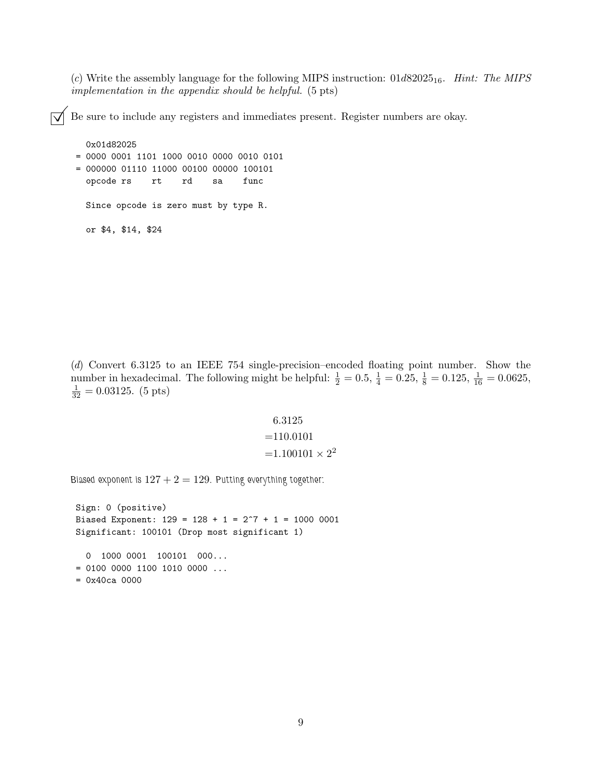(*c*) Write the assembly language for the following MIPS instruction: 01d8202516. *Hint: The MIPS implementation in the appendix should be helpful.* (5 pts)

Be sure to include any registers and immediates present. Register numbers are okay.

```
0x01d82025
= 0000 0001 1101 1000 0010 0000 0010 0101
= 000000 01110 11000 00100 00000 100101
 opcode rs rt rd sa func
 Since opcode is zero must by type R.
 or $4, $14, $24
```
(*d*) Convert 6.3125 to an IEEE 754 single-precision–encoded floating point number. Show the number in hexadecimal. The following might be helpful:  $\frac{1}{2} = 0.5$ ,  $\frac{1}{4} = 0.25$ ,  $\frac{1}{8} = 0.125$ ,  $\frac{1}{16} = 0.0625$ ,  $\frac{1}{32} = 0.03125.$  (5 pts)

$$
6.3125
$$
  
=110.0101  
=1.100101 × 2<sup>2</sup>

*Biased exponent is* 127 + 2 = 129*. Putting everything together:*

Sign: 0 (positive) Biased Exponent:  $129 = 128 + 1 = 2^7 + 1 = 1000 0001$ Significant: 100101 (Drop most significant 1) 0 1000 0001 100101 000...  $= 0100 0000 1100 1010 0000 ...$ 

```
= 0x40ca 0000
```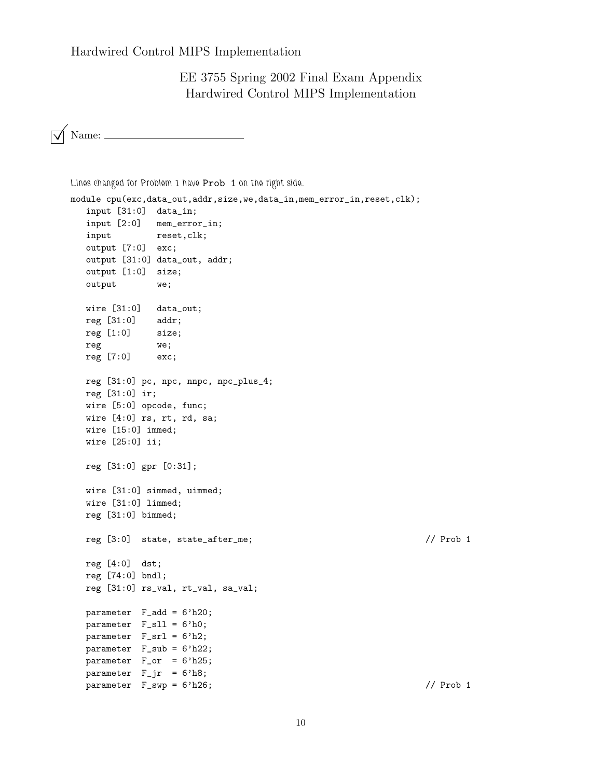EE 3755 Spring 2002 Final Exam Appendix Hardwired Control MIPS Implementation

 $\sqrt{\phantom{a}}$  Name:

```
Lines changed for Problem 1 have Prob 1 on the right side.
module cpu(exc,data_out,addr,size,we,data_in,mem_error_in,reset,clk);
  input [31:0] data_in;
  input [2:0] mem_error_in;
  input reset, clk;
  output [7:0] exc;
  output [31:0] data_out, addr;
  output [1:0] size;
  output we;
  wire [31:0] data_out;
  reg [31:0] addr;
  reg [1:0] size;
  reg we;
  reg [7:0] exc;
  reg [31:0] pc, npc, nnpc, npc_plus_4;
  reg [31:0] ir;
  wire [5:0] opcode, func;
  wire [4:0] rs, rt, rd, sa;
  wire [15:0] immed;
  wire [25:0] ii;
  reg [31:0] gpr [0:31];
  wire [31:0] simmed, uimmed;
  wire [31:0] limmed;
  reg [31:0] bimmed;
  reg [3:0] state, state_after_me; // Prob 1
  reg [4:0] dst;
  reg [74:0] bndl;
  reg [31:0] rs_val, rt_val, sa_val;
  parameter F_add = 6'h20;
  parameter F_sll = 6'h0;
  parameter F_srl = 6'h2;
  parameter F_sub = 6'h22;
  parameter F_or = 6'h25;
  parameter F_{ir} = 6'h8;parameter F_swp = 6'h26; // Prob 1
```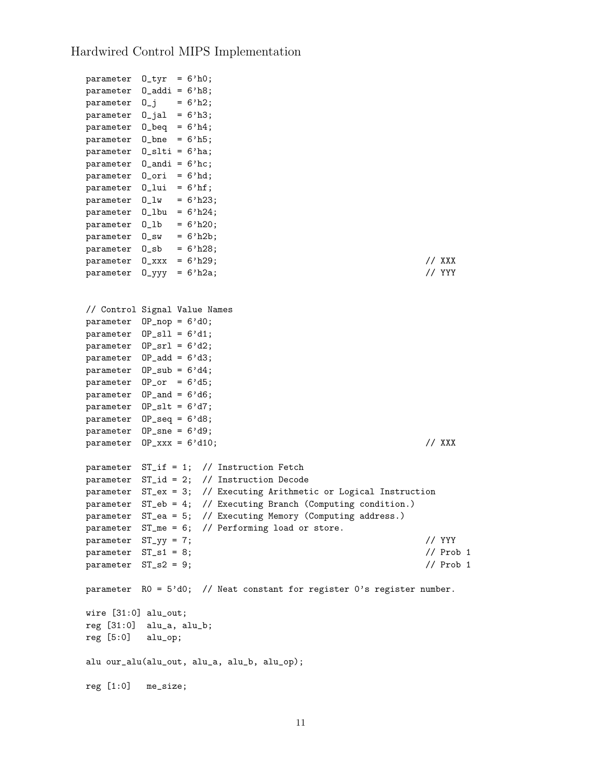```
parameter O_tyr = 6'h0;
parameter O_addi = 6'h8;
parameter 0_j = 6'h2;
parameter 0_jal = 6'h3;
parameter 0_{\text{beq}} = 6'h4;
parameter O_bne = 6'h5;
parameter O_slti = 6'ha;
parameter 0 andi = 6'hc;
parameter O_ori = 6'hd;
parameter O_lui = 6'hf;
parameter 0_l w = 6'h23;parameter 0_1bu = 6'h24;
parameter 0_1b = 6'h20;
parameter O_sw = 6'h2b;
parameter 0<sub>sb</sub> = 6'h28;parameter O_xxx = 6'h29; // XXX
parameter 0_yyy = 6'h2a; // YYY
// Control Signal Value Names
parameter OP_nop = 6'd0;
parameter OP_sll = 6'd1;
parameter OP_srl = 6'd2;
parameter OP_add = 6'd3;
parameter OP_sub = 6'd4;
parameter 0P_orr = 6'dB;parameter OP<sub>and</sub> = 6'd6;
parameter 0P_slt = 6'd7;
parameter OP_seq = 6'd8;
parameter OP_sne = 6'd9;
parameter 0P_{xxxx} = 6' d10; // XXX
parameter ST_if = 1; // Instruction Fetch
parameter ST_id = 2; // Instruction Decode
parameter ST_ex = 3; // Executing Arithmetic or Logical Instruction
parameter ST_eb = 4; // Executing Branch (Computing condition.)
parameter ST_ea = 5; // Executing Memory (Computing address.)
parameter ST_me = 6; // Performing load or store.
parameter ST_yy = 7; // YYY
parameter \tST_s1 = 8; // Prob 1
parameter ST_S2 = 9; // Prob 1
parameter R0 = 5'd0; // Neat constant for register 0's register number.
wire [31:0] alu_out;
reg [31:0] alu_a, alu_b;
reg [5:0] alu_op;
alu our_alu(alu_out, alu_a, alu_b, alu_op);
reg [1:0] me_size;
```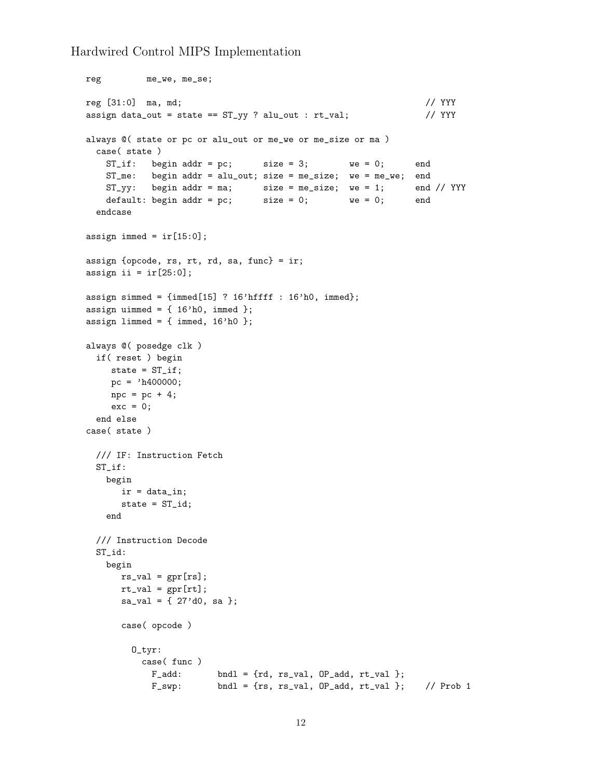```
reg me_we, me_se;
reg [31:0] ma, md; // YYY
assign data_out = state == ST_yy ? alu_out : rt_yal; // YYY
always @( state or pc or alu_out or me_we or me_size or ma )
 case( state )
   ST\_if: begin addr = pc; size = 3; we = 0; end
   ST_me: begin addr = alu_out; size = me_size; we = me_we; end
   ST_yy: begin addr = ma; size = me_size; we = 1; end // YYY
   default: begin addr = pc; size = 0; we = 0; end
  endcase
assign immed = ir[15:0];
assign {opcode, rs, rt, rd, sa, func} = ir;
assign ii = ir[25:0];
assign simmed = {immed[15]} ? 16'hffff : 16'h0, immed};
assign uimmed = {16'h0, immed};
assign limmed = { immed, 16'h0 {};
always @( posedge clk )
 if( reset ) begin
    state = ST\_if;
    pc = 'h400000;\text{npc} = \text{pc} + 4;exc = 0;end else
case( state )
 /// IF: Instruction Fetch
 ST_if:
   begin
     ir = data_in;
      state = ST_id;
   end
  /// Instruction Decode
 ST_id:
   begin
      rs\_val = gpr[rs];rt_val = gpr[rt];sa\_val = \{ 27' d0, sa \};case( opcode )
        O_tyr:
          case( func )
            F\_add: bndl = {rd, rs_val, OP_add, rt_val };
            F_swp: bndl = {rs, rs_val, OP_add, rt_val }; // Prob 1
```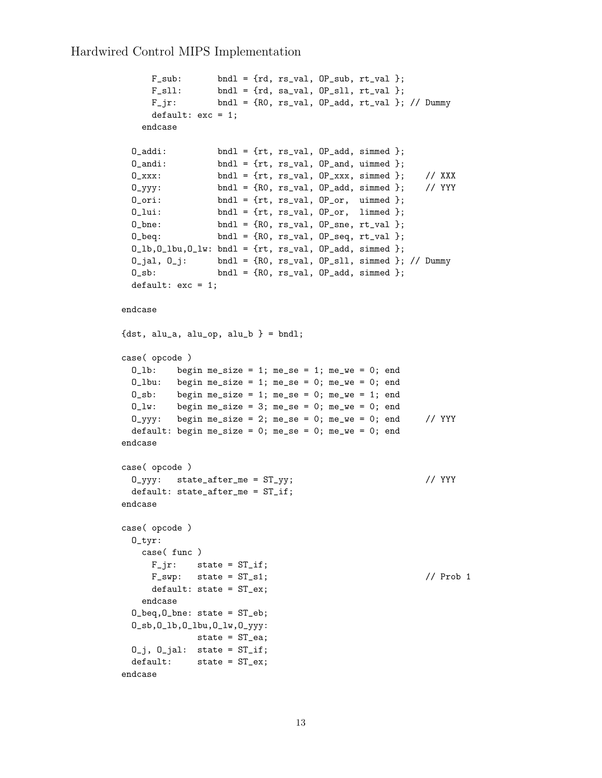```
F\_sub: bndl = {rd, rs_val, OP_sub, rt_val };
     F_s11: bndl = {rd, sa_val, OP_sll, rt_val };
     F_jr: bndl = {R0, rs_val, OP_add, rt_val }; // Dummy
     default: exc = 1;
   endcase
 0_addi: bndl = {rt, rs_val, 0P_add, simmed };
 0<sub>andi</sub>: bndl = {rt, rs_val, 0P<sub>-</sub>and, uimmed };
 0_1xxx: bndl = {rt, rs_val, OP_xxx, simmed }; // XXX
 0_yyy: bndl = {R0, rs_val, OP_add, simmed }; // YYY
 0_ori: bndl = {rt, rs_val, 0P_or, uimmed };
 0_1ui: bndl = {rt, rs_val, OP_or, limmed };
 0_\text{.} bndl = {R0, rs_\text{.}val, 0P_\text{.}sne, rt_\text{.}val };
 0_{\text{red}}: bndl = {R0, rs_val, OP_seq, rt_val };
 0_l,0_l,0_l,0_l,0_l and 1 = \{rt, rs_lval, 0P<sub>r</sub>add, simmed };0_jal, 0_j: bndl = {R0, rs_val, OP_sll, simmed }; // Dummy
 0_sb: bndl = {R0, rs_val, OP_add, simmed };
 default: exc = 1;
endcase
{dst, alu_a, alu_op, alu_b } = bndl;
case( opcode )
 0_1b: begin me_size = 1; me_se = 1; me_we = 0; end
 0_lbu: begin me_size = 1; me_se = 0; me_we = 0; end
 0_s: begin me_size = 1; me_se = 0; me_we = 1; end
 0_l w: begin me_size = 3; me_se = 0; me_we = 0; end
 0_yyy: begin me_size = 2; me_se = 0; me_we = 0; end // YYY
 default: begin me_size = 0; me_se = 0; me_we = 0; end
endcase
case( opcode )
 O_{\text{V}}yy: state_after_me = ST_{\text{V}}y; // YYY
 default: state_after_me = ST_if;
endcase
case( opcode )
 O_tyr:
   case( func )
     F_jir: state = ST_jif;
     F_swp: state = ST_s1; // Prob 1
     default: state = ST_ex;
   endcase
 O_beq,O_bne: state = ST_eb;
 O_sb,O_lb,O_lbu,O_lw,O_yyy:
              state = ST_ea;
 0_j, 0_jal: state = ST_iif;
 default: state = ST_ex;
endcase
```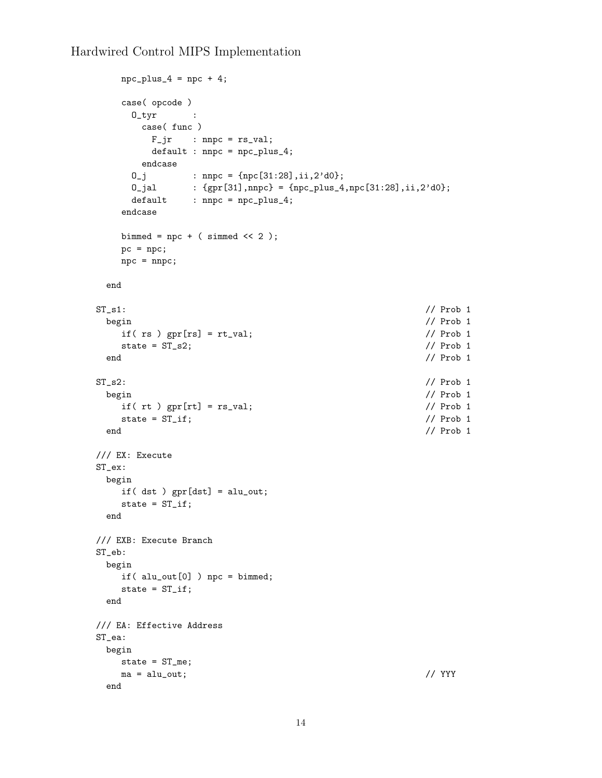```
npc-plus_4 = npc + 4;
  case( opcode )
   0\_tyr :
     case( func )
     F_jr : nnpc = rs_val;default : nnpc = npc_plus_4;
    endcase
    0_j : nnpc = {npc[31:28],ii,2'd0};
   0_jal : {gpr[31],nnpc} = {npc_plus_4,npc[31:28],ii,2'd0};
    default : nnpc = npc_plus_4;
  endcase
  bimmed = npc + (simmed << 2);pc = npc;
  npc = nnpc;
 end
ST\_s1: // Prob 1
 begin // Prob 1
  if( rs ) gpr[rs] = rt_val; // Prob 1
  state = ST_s2; // Prob 1end // Prob 1
ST_s2: // Prob 1
 begin // Prob 1
  if( rt ) gpr[rt] = rs_val; // Prob 1
  state = ST_iif; // Prob 1end // Prob 1
/// EX: Execute
ST_ex:
 begin
  if( dst ) gpr[dst] = alu_out;
  state = ST_if;end
/// EXB: Execute Branch
ST_eb:
 begin
  if( alu_out[0] ) npc = bimmed;
  state = ST_if;end
/// EA: Effective Address
ST_ea:
 begin
  state = ST_me;
  ma = alu_out; // YYY
 end
```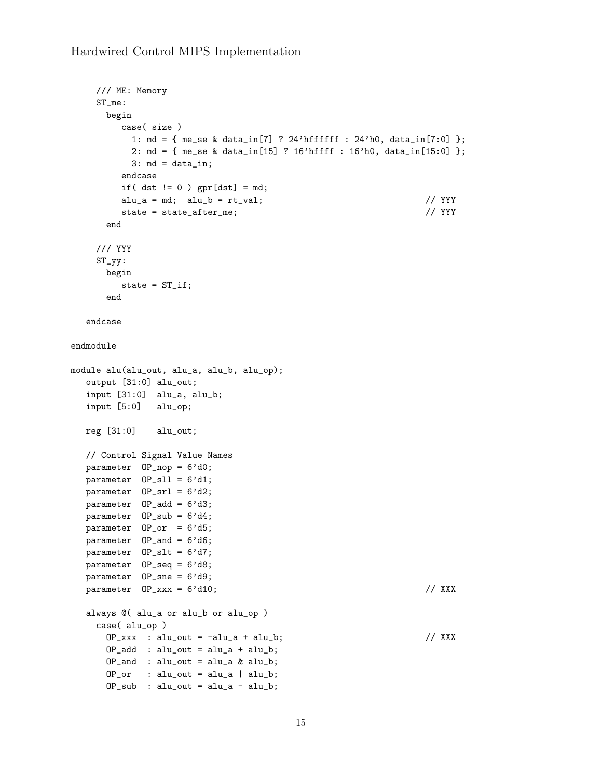```
/// ME: Memory
    ST_me:
      begin
         case( size )
          1: md = { me_se & data_in[7] ? 24'hffffff : 24'h0, data_in[7:0] };
          2: md = { me_se & data_in[15] ? 16'hffff : 16'h0, data_in[15:0] };
          3: md = data_in;
         endcase
         if( dst != 0 ) gpr[dst] = md;alu_a = md; alu_b = rt_val; // YYY
         state = state_after_me; // YYY
      end
    /// YYY
    ST_{-}yy:
      begin
         state = ST_if;end
  endcase
endmodule
module alu(alu_out, alu_a, alu_b, alu_op);
  output [31:0] alu_out;
  input [31:0] alu_a, alu_b;
  input [5:0] alu_op;
  reg [31:0] alu_out;
  // Control Signal Value Names
  parameter OP_nop = 6'd0;
  parameter 0P_sll = 6'd1;
  parameter OP_srl = 6'd2;
  parameter OP_add = 6'd3;
  parameter OP_sub = 6'dd;
  parameter 0P_orr = 6'dB;parameter OP<sub>and</sub> = 6'd6;
  parameter OP_slt = 6'd7;
  parameter OP_seq = 6'd8;
  parameter OP_sne = 6'd9;
  parameter 0P_{xxxx} = 6' d10; // XXX
  always @( alu_a or alu_b or alu_op )
    case( alu_op )
      OP_{\text{xxxx}} : alu_out = -alu_a + alu_b; // XXX
      OP\_add : alu\_out = alu\_a + alu\_b;OP<sub>and</sub> : alu_out = alu_a & alu_b;
      OP_or : alu_out = alu_a | alu_b;
      OP\_sub: alu_out = alu_a - alu_b;
```